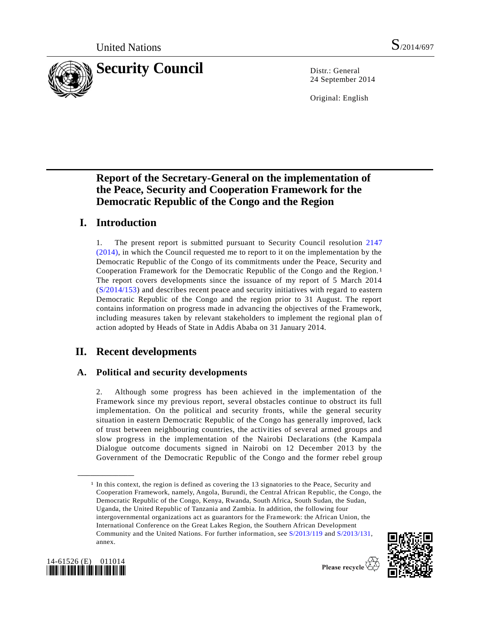

24 September 2014

Original: English

# **Report of the Secretary-General on the implementation of the Peace, Security and Cooperation Framework for the Democratic Republic of the Congo and the Region**

# **I. Introduction**

1. The present report is submitted pursuant to Security Council resolution [2147](http://undocs.org/S/RES/2147(2014))  [\(2014\),](http://undocs.org/S/RES/2147(2014)) in which the Council requested me to report to it on the implementation by the Democratic Republic of the Congo of its commitments under the Peace, Security and Cooperation Framework for the Democratic Republic of the Congo and the Region.1 The report covers developments since the issuance of my report of 5 March 2014 [\(S/2014/153\)](http://undocs.org/S/2014/153) and describes recent peace and security initiatives with regard to eastern Democratic Republic of the Congo and the region prior to 31 August. The report contains information on progress made in advancing the objectives of the Framework, including measures taken by relevant stakeholders to implement the regional plan of action adopted by Heads of State in Addis Ababa on 31 January 2014.

# **II. Recent developments**

### **A. Political and security developments**

2. Although some progress has been achieved in the implementation of the Framework since my previous report, several obstacles continue to obstruct its full implementation. On the political and security fronts, while the general security situation in eastern Democratic Republic of the Congo has generally improved, lack of trust between neighbouring countries, the activities of several armed groups and slow progress in the implementation of the Nairobi Declarations (the Kampala Dialogue outcome documents signed in Nairobi on 12 December 2013 by the Government of the Democratic Republic of the Congo and the former rebel group

<sup>&</sup>lt;sup>1</sup> In this context, the region is defined as covering the 13 signatories to the Peace, Security and Cooperation Framework, namely, Angola, Burundi, the Central African Republic, the Congo, the Democratic Republic of the Congo, Kenya, Rwanda, South Africa, South Sudan, the Sudan, Uganda, the United Republic of Tanzania and Zambia. In addition, the following four intergovernmental organizations act as guarantors for the Framework: the African Union, the International Conference on the Great Lakes Region, the Southern African Development Community and the United Nations. For further information, se[e S/2013/119](http://undocs.org/S/2013/119) and [S/2013/131,](http://undocs.org/S/2013/131) annex.





**\_\_\_\_\_\_\_\_\_\_\_\_\_\_\_\_\_\_**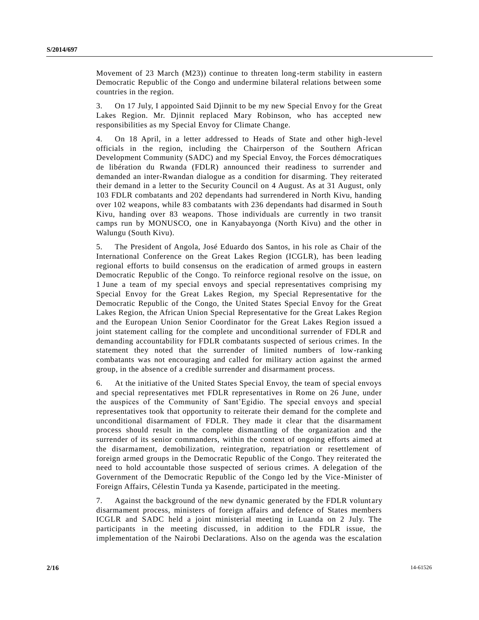Movement of 23 March (M23)) continue to threaten long-term stability in eastern Democratic Republic of the Congo and undermine bilateral relations between some countries in the region.

3. On 17 July, I appointed Said Djinnit to be my new Special Envoy for the Great Lakes Region. Mr. Djinnit replaced Mary Robinson, who has accepted new responsibilities as my Special Envoy for Climate Change.

4. On 18 April, in a letter addressed to Heads of State and other high-level officials in the region, including the Chairperson of the Southern African Development Community (SADC) and my Special Envoy, the Forces démocratiques de libération du Rwanda (FDLR) announced their readiness to surrender and demanded an inter-Rwandan dialogue as a condition for disarming. They reiterated their demand in a letter to the Security Council on 4 August. As at 31 August, only 103 FDLR combatants and 202 dependants had surrendered in North Kivu, handing over 102 weapons, while 83 combatants with 236 dependants had disarmed in South Kivu, handing over 83 weapons. Those individuals are currently in two transit camps run by MONUSCO, one in Kanyabayonga (North Kivu) and the other in Walungu (South Kivu).

5. The President of Angola, José Eduardo dos Santos, in his role as Chair of the International Conference on the Great Lakes Region (ICGLR), has been leading regional efforts to build consensus on the eradication of armed groups in eastern Democratic Republic of the Congo. To reinforce regional resolve on the issue, on 1 June a team of my special envoys and special representatives comprising my Special Envoy for the Great Lakes Region, my Special Representative for the Democratic Republic of the Congo, the United States Special Envoy for the Great Lakes Region, the African Union Special Representative for the Great Lakes Region and the European Union Senior Coordinator for the Great Lakes Region issued a joint statement calling for the complete and unconditional surrender of FDLR and demanding accountability for FDLR combatants suspected of serious crimes. In the statement they noted that the surrender of limited numbers of low-ranking combatants was not encouraging and called for military action against the armed group, in the absence of a credible surrender and disarmament process.

6. At the initiative of the United States Special Envoy, the team of special envoys and special representatives met FDLR representatives in Rome on 26 June, under the auspices of the Community of Sant'Egidio. The special envoys and special representatives took that opportunity to reiterate their demand for the complete and unconditional disarmament of FDLR. They made it clear that the disarmament process should result in the complete dismantling of the organization and the surrender of its senior commanders, within the context of ongoing efforts aimed at the disarmament, demobilization, reintegration, repatriation or resettlement of foreign armed groups in the Democratic Republic of the Congo. They reiterated the need to hold accountable those suspected of serious crimes. A delegation of the Government of the Democratic Republic of the Congo led by the Vice -Minister of Foreign Affairs, Célestin Tunda ya Kasende, participated in the meeting.

7. Against the background of the new dynamic generated by the FDLR volunt ary disarmament process, ministers of foreign affairs and defence of States members ICGLR and SADC held a joint ministerial meeting in Luanda on 2 July. The participants in the meeting discussed, in addition to the FDLR issue, the implementation of the Nairobi Declarations. Also on the agenda was the escalation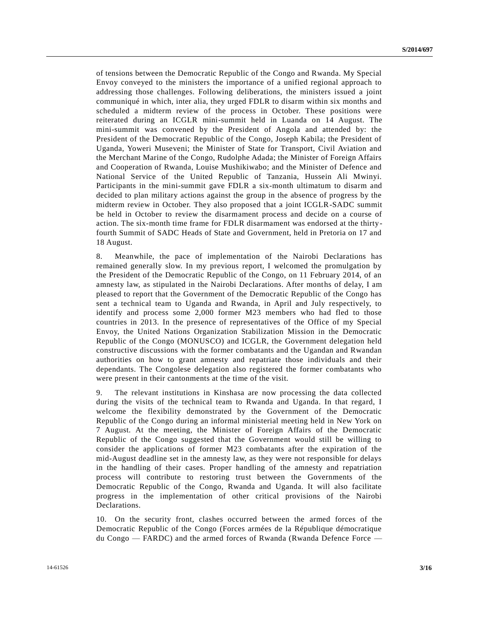of tensions between the Democratic Republic of the Congo and Rwanda. My Special Envoy conveyed to the ministers the importance of a unified regional approach to addressing those challenges. Following deliberations, the ministers issued a joint communiqué in which, inter alia, they urged FDLR to disarm within six months and scheduled a midterm review of the process in October. These positions were reiterated during an ICGLR mini-summit held in Luanda on 14 August. The mini-summit was convened by the President of Angola and attended by: the President of the Democratic Republic of the Congo, Joseph Kabila; the President of Uganda, Yoweri Museveni; the Minister of State for Transport, Civil Aviation and the Merchant Marine of the Congo, Rudolphe Adada; the Minister of Foreign Affairs and Cooperation of Rwanda, Louise Mushikiwabo; and the Minister of Defence and National Service of the United Republic of Tanzania, Hussein Ali Mwinyi. Participants in the mini-summit gave FDLR a six-month ultimatum to disarm and decided to plan military actions against the group in the absence of progress by the midterm review in October. They also proposed that a joint ICGLR-SADC summit be held in October to review the disarmament process and decide on a course of action. The six-month time frame for FDLR disarmament was endorsed at the thirtyfourth Summit of SADC Heads of State and Government, held in Pretoria on 17 and 18 August.

8. Meanwhile, the pace of implementation of the Nairobi Declarations has remained generally slow. In my previous report, I welcomed the promulgation by the President of the Democratic Republic of the Congo, on 11 February 2014, of an amnesty law, as stipulated in the Nairobi Declarations. After months of delay, I am pleased to report that the Government of the Democratic Republic of the Congo has sent a technical team to Uganda and Rwanda, in April and July respectively, to identify and process some 2,000 former M23 members who had fled to those countries in 2013. In the presence of representatives of the Office of my Special Envoy, the United Nations Organization Stabilization Mission in the Democratic Republic of the Congo (MONUSCO) and ICGLR, the Government delegation held constructive discussions with the former combatants and the Ugandan and Rwandan authorities on how to grant amnesty and repatriate those individuals and their dependants. The Congolese delegation also registered the former combatants who were present in their cantonments at the time of the visit.

9. The relevant institutions in Kinshasa are now processing the data collected during the visits of the technical team to Rwanda and Uganda. In that regard, I welcome the flexibility demonstrated by the Government of the Democratic Republic of the Congo during an informal ministerial meeting held in New York on 7 August. At the meeting, the Minister of Foreign Affairs of the Democratic Republic of the Congo suggested that the Government would still be willing to consider the applications of former M23 combatants after the expiration of the mid-August deadline set in the amnesty law, as they were not responsible for delays in the handling of their cases. Proper handling of the amnesty and repatriation process will contribute to restoring trust between the Governments of the Democratic Republic of the Congo, Rwanda and Uganda. It will also facilitate progress in the implementation of other critical provisions of the Nairobi Declarations.

10. On the security front, clashes occurred between the armed forces of the Democratic Republic of the Congo (Forces armées de la République démocratique du Congo — FARDC) and the armed forces of Rwanda (Rwanda Defence Force —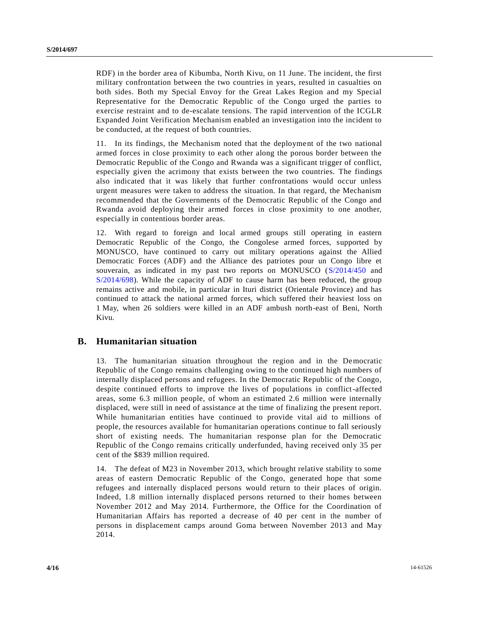RDF) in the border area of Kibumba, North Kivu, on 11 June. The incident, the first military confrontation between the two countries in years, resulted in casualties on both sides. Both my Special Envoy for the Great Lakes Region and my Special Representative for the Democratic Republic of the Congo urged the parties to exercise restraint and to de-escalate tensions. The rapid intervention of the ICGLR Expanded Joint Verification Mechanism enabled an investigation into the incident to be conducted, at the request of both countries.

11. In its findings, the Mechanism noted that the deployment of the two national armed forces in close proximity to each other along the porous border between the Democratic Republic of the Congo and Rwanda was a significant trigger of conflict, especially given the acrimony that exists between the two countries. The findings also indicated that it was likely that further confrontations would occur unless urgent measures were taken to address the situation. In that regard, the Mechanism recommended that the Governments of the Democratic Republic of the Congo and Rwanda avoid deploying their armed forces in close proximity to one another, especially in contentious border areas.

12. With regard to foreign and local armed groups still operating in eastern Democratic Republic of the Congo, the Congolese armed forces, supported by MONUSCO, have continued to carry out military operations against the Allied Democratic Forces (ADF) and the Alliance des patriotes pour un Congo libre et souverain, as indicated in my past two reports on MONUSCO [\(S/2014/450](http://undocs.org/S/2014/450) and [S/2014/698\)](http://undocs.org/S/2014/698). While the capacity of ADF to cause harm has been reduced, the group remains active and mobile, in particular in Ituri district (Orientale Province) and has continued to attack the national armed forces, which suffered their heaviest loss on 1 May, when 26 soldiers were killed in an ADF ambush north-east of Beni, North Kivu.

### **B. Humanitarian situation**

13. The humanitarian situation throughout the region and in the Democratic Republic of the Congo remains challenging owing to the continued high numbers of internally displaced persons and refugees. In the Democratic Republic of the Congo, despite continued efforts to improve the lives of populations in conflict-affected areas, some 6.3 million people, of whom an estimated 2.6 million were internally displaced, were still in need of assistance at the time of finalizing the present report. While humanitarian entities have continued to provide vital aid to millions of people, the resources available for humanitarian operations continue to fall seriously short of existing needs. The humanitarian response plan for the Democratic Republic of the Congo remains critically underfunded, having received only 35 per cent of the \$839 million required.

14. The defeat of M23 in November 2013, which brought relative stability to some areas of eastern Democratic Republic of the Congo, generated hope that some refugees and internally displaced persons would return to their places of origin. Indeed, 1.8 million internally displaced persons returned to their homes between November 2012 and May 2014. Furthermore, the Office for the Coordination of Humanitarian Affairs has reported a decrease of 40 per cent in the number of persons in displacement camps around Goma between November 2013 and May 2014.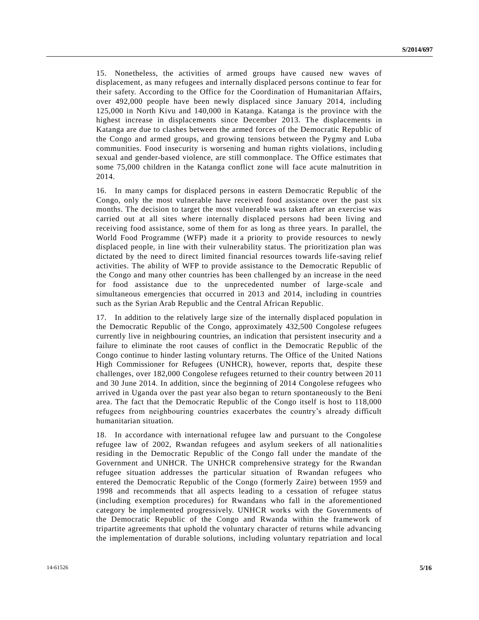15. Nonetheless, the activities of armed groups have caused new waves of displacement, as many refugees and internally displaced persons continue to fear for their safety. According to the Office for the Coordination of Humanitarian Affairs, over 492,000 people have been newly displaced since January 2014, including 125,000 in North Kivu and 140,000 in Katanga. Katanga is the province with the highest increase in displacements since December 2013. The displacements in Katanga are due to clashes between the armed forces of the Democratic Republic of the Congo and armed groups, and growing tensions between the Pygmy and Luba communities. Food insecurity is worsening and human rights violations, includin g sexual and gender-based violence, are still commonplace. The Office estimates that some 75,000 children in the Katanga conflict zone will face acute malnutrition in 2014.

16. In many camps for displaced persons in eastern Democratic Republic of the Congo, only the most vulnerable have received food assistance over the past six months. The decision to target the most vulnerable was taken after an exercise was carried out at all sites where internally displaced persons had been living and receiving food assistance, some of them for as long as three years. In parallel, the World Food Programme (WFP) made it a priority to provide resources to newly displaced people, in line with their vulnerability status. The prioritization plan was dictated by the need to direct limited financial resources towards life-saving relief activities. The ability of WFP to provide assistance to the Democratic Republic of the Congo and many other countries has been challenged by an increase in the need for food assistance due to the unprecedented number of large-scale and simultaneous emergencies that occurred in 2013 and 2014, including in countries such as the Syrian Arab Republic and the Central African Republic.

17. In addition to the relatively large size of the internally displaced population in the Democratic Republic of the Congo, approximately 432,500 Congolese refugees currently live in neighbouring countries, an indication that persistent insecurity and a failure to eliminate the root causes of conflict in the Democratic Republic of the Congo continue to hinder lasting voluntary returns. The Office of the United Nations High Commissioner for Refugees (UNHCR), however, reports that, despite these challenges, over 182,000 Congolese refugees returned to their country between 20 11 and 30 June 2014. In addition, since the beginning of 2014 Congolese refugees who arrived in Uganda over the past year also began to return spontaneously to the Beni area. The fact that the Democratic Republic of the Congo itself is host to 118,000 refugees from neighbouring countries exacerbates the country's already difficult humanitarian situation.

18. In accordance with international refugee law and pursuant to the Congolese refugee law of 2002, Rwandan refugees and asylum seekers of all nationalitie s residing in the Democratic Republic of the Congo fall under the mandate of the Government and UNHCR. The UNHCR comprehensive strategy for the Rwandan refugee situation addresses the particular situation of Rwandan refugees who entered the Democratic Republic of the Congo (formerly Zaire) between 1959 and 1998 and recommends that all aspects leading to a cessation of refugee status (including exemption procedures) for Rwandans who fall in the aforementioned category be implemented progressively. UNHCR works with the Governments of the Democratic Republic of the Congo and Rwanda within the framework of tripartite agreements that uphold the voluntary character of returns while advancing the implementation of durable solutions, including voluntary repatriation and local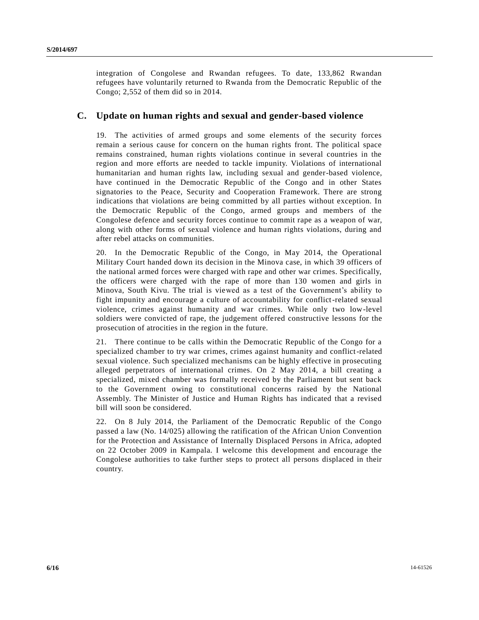integration of Congolese and Rwandan refugees. To date, 133,862 Rwandan refugees have voluntarily returned to Rwanda from the Democratic Republic of the Congo; 2,552 of them did so in 2014.

### **C. Update on human rights and sexual and gender-based violence**

19. The activities of armed groups and some elements of the security forces remain a serious cause for concern on the human rights front. The political space remains constrained, human rights violations continue in several countries in the region and more efforts are needed to tackle impunity. Violations of international humanitarian and human rights law, including sexual and gender-based violence, have continued in the Democratic Republic of the Congo and in other States signatories to the Peace, Security and Cooperation Framework. There are strong indications that violations are being committed by all parties without exception. In the Democratic Republic of the Congo, armed groups and members of the Congolese defence and security forces continue to commit rape as a weapon of war, along with other forms of sexual violence and human rights violations, during and after rebel attacks on communities.

20. In the Democratic Republic of the Congo, in May 2014, the Operational Military Court handed down its decision in the Minova case, in which 39 officers of the national armed forces were charged with rape and other war crimes. Specifically, the officers were charged with the rape of more than 130 women and girls in Minova, South Kivu. The trial is viewed as a test of the Government's ability to fight impunity and encourage a culture of accountability for conflict-related sexual violence, crimes against humanity and war crimes. While only two low-level soldiers were convicted of rape, the judgement offered constructive lessons for the prosecution of atrocities in the region in the future.

21. There continue to be calls within the Democratic Republic of the Congo for a specialized chamber to try war crimes, crimes against humanity and conflict-related sexual violence. Such specialized mechanisms can be highly effective in prosecuting alleged perpetrators of international crimes. On 2 May 2014, a bill creating a specialized, mixed chamber was formally received by the Parliament but sent back to the Government owing to constitutional concerns raised by the National Assembly. The Minister of Justice and Human Rights has indicated that a revised bill will soon be considered.

22. On 8 July 2014, the Parliament of the Democratic Republic of the Congo passed a law (No. 14/025) allowing the ratification of the African Union Convention for the Protection and Assistance of Internally Displaced Persons in Africa, adopted on 22 October 2009 in Kampala. I welcome this development and encourage the Congolese authorities to take further steps to protect all persons displaced in their country.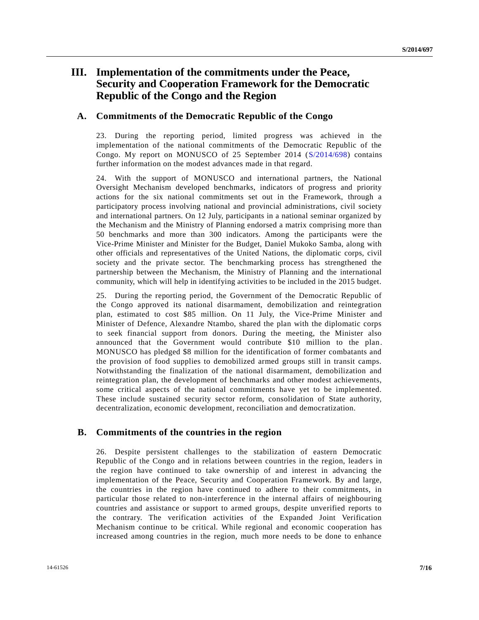## **III. Implementation of the commitments under the Peace, Security and Cooperation Framework for the Democratic Republic of the Congo and the Region**

### **A. Commitments of the Democratic Republic of the Congo**

23. During the reporting period, limited progress was achieved in the implementation of the national commitments of the Democratic Republic of the Congo. My report on MONUSCO of 25 September 2014 [\(S/2014/698\)](http://undocs.org/S/2014/698) contains further information on the modest advances made in that regard.

24. With the support of MONUSCO and international partners, the National Oversight Mechanism developed benchmarks, indicators of progress and priority actions for the six national commitments set out in the Framework, through a participatory process involving national and provincial administrations, civil society and international partners. On 12 July, participants in a national seminar organized by the Mechanism and the Ministry of Planning endorsed a matrix comprising more than 50 benchmarks and more than 300 indicators. Among the participants were the Vice-Prime Minister and Minister for the Budget, Daniel Mukoko Samba, along with other officials and representatives of the United Nations, the diplomatic corps, civil society and the private sector. The benchmarking process has strengthened the partnership between the Mechanism, the Ministry of Planning and the international community, which will help in identifying activities to be included in the 2015 budget.

25. During the reporting period, the Government of the Democratic Republic of the Congo approved its national disarmament, demobilization and reintegration plan, estimated to cost \$85 million. On 11 July, the Vice-Prime Minister and Minister of Defence, Alexandre Ntambo, shared the plan with the diplomatic corps to seek financial support from donors. During the meeting, the Minister also announced that the Government would contribute \$10 million to the plan. MONUSCO has pledged \$8 million for the identification of former combatants and the provision of food supplies to demobilized armed groups still in transit camps. Notwithstanding the finalization of the national disarmament, demobilization and reintegration plan, the development of benchmarks and other modest achievements, some critical aspects of the national commitments have yet to be implemented. These include sustained security sector reform, consolidation of State authority, decentralization, economic development, reconciliation and democratization.

### **B. Commitments of the countries in the region**

26. Despite persistent challenges to the stabilization of eastern Democratic Republic of the Congo and in relations between countries in the region, leaders in the region have continued to take ownership of and interest in advancing the implementation of the Peace, Security and Cooperation Framework. By and large, the countries in the region have continued to adhere to their commitments, in particular those related to non-interference in the internal affairs of neighbouring countries and assistance or support to armed groups, despite unverified reports to the contrary. The verification activities of the Expanded Joint Verification Mechanism continue to be critical. While regional and economic cooperation has increased among countries in the region, much more needs to be done to enhance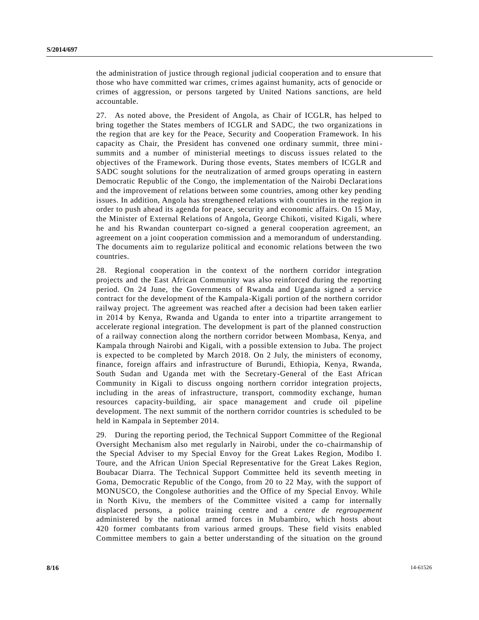the administration of justice through regional judicial cooperation and to ensure that those who have committed war crimes, crimes against humanity, acts of genocide or crimes of aggression, or persons targeted by United Nations sanctions, are held accountable.

27. As noted above, the President of Angola, as Chair of ICGLR, has helped to bring together the States members of ICGLR and SADC, the two organizations in the region that are key for the Peace, Security and Cooperation Framework. In his capacity as Chair, the President has convened one ordinary summit, three minisummits and a number of ministerial meetings to discuss issues related to the objectives of the Framework. During those events, States members of ICGLR and SADC sought solutions for the neutralization of armed groups operating in eastern Democratic Republic of the Congo, the implementation of the Nairobi Declarations and the improvement of relations between some countries, among other key pending issues. In addition, Angola has strengthened relations with countries in the region in order to push ahead its agenda for peace, security and economic affairs. On 15 May, the Minister of External Relations of Angola, George Chikoti, visited Kigali, where he and his Rwandan counterpart co-signed a general cooperation agreement, an agreement on a joint cooperation commission and a memorandum of understanding. The documents aim to regularize political and economic relations between the two countries.

28. Regional cooperation in the context of the northern corridor integration projects and the East African Community was also reinforced during the reporting period. On 24 June, the Governments of Rwanda and Uganda signed a service contract for the development of the Kampala-Kigali portion of the northern corridor railway project. The agreement was reached after a decision had been taken earlier in 2014 by Kenya, Rwanda and Uganda to enter into a tripartite arrangement to accelerate regional integration. The development is part of the planned construction of a railway connection along the northern corridor between Mombasa, Kenya, and Kampala through Nairobi and Kigali, with a possible extension to Juba. The project is expected to be completed by March 2018. On 2 July, the ministers of economy, finance, foreign affairs and infrastructure of Burundi, Ethiopia, Kenya, Rwanda, South Sudan and Uganda met with the Secretary-General of the East African Community in Kigali to discuss ongoing northern corridor integration projects, including in the areas of infrastructure, transport, commodity exchange, human resources capacity-building, air space management and crude oil pipeline development. The next summit of the northern corridor countries is scheduled to be held in Kampala in September 2014.

29. During the reporting period, the Technical Support Committee of the Regional Oversight Mechanism also met regularly in Nairobi, under the co-chairmanship of the Special Adviser to my Special Envoy for the Great Lakes Region, Modibo I. Toure, and the African Union Special Representative for the Great Lakes Region, Boubacar Diarra. The Technical Support Committee held its seventh meeting in Goma, Democratic Republic of the Congo, from 20 to 22 May, with the support of MONUSCO, the Congolese authorities and the Office of my Special Envoy. While in North Kivu, the members of the Committee visited a camp for internally displaced persons, a police training centre and a *centre de regroupement* administered by the national armed forces in Mubambiro, which hosts about 420 former combatants from various armed groups. These field visits enabled Committee members to gain a better understanding of the situation on the ground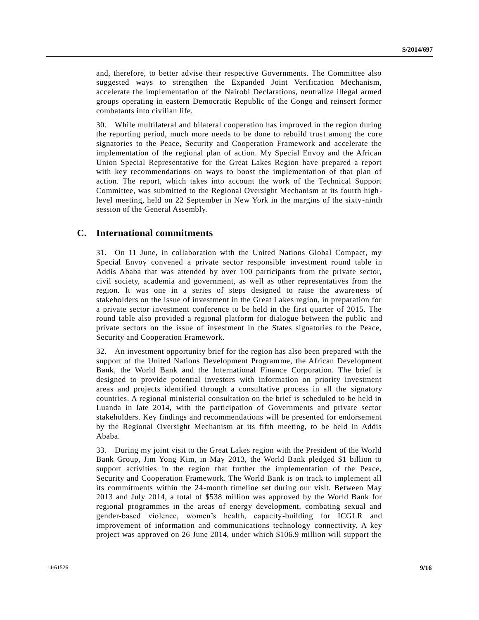and, therefore, to better advise their respective Governments. The Committee also suggested ways to strengthen the Expanded Joint Verification Mechanism, accelerate the implementation of the Nairobi Declarations, neutralize illegal armed groups operating in eastern Democratic Republic of the Congo and reinsert former combatants into civilian life.

30. While multilateral and bilateral cooperation has improved in the region during the reporting period, much more needs to be done to rebuild trust among the core signatories to the Peace, Security and Cooperation Framework and accelerate the implementation of the regional plan of action. My Special Envoy and the African Union Special Representative for the Great Lakes Region have prepared a report with key recommendations on ways to boost the implementation of that plan of action. The report, which takes into account the work of the Technical Support Committee, was submitted to the Regional Oversight Mechanism at its fourth high level meeting, held on 22 September in New York in the margins of the sixty-ninth session of the General Assembly.

#### **C. International commitments**

31. On 11 June, in collaboration with the United Nations Global Compact, my Special Envoy convened a private sector responsible investment round table in Addis Ababa that was attended by over 100 participants from the private sector, civil society, academia and government, as well as other representatives from the region. It was one in a series of steps designed to raise the awareness of stakeholders on the issue of investment in the Great Lakes region, in preparation for a private sector investment conference to be held in the first quarter of 2015. The round table also provided a regional platform for dialogue between the public and private sectors on the issue of investment in the States signatories to the Peace, Security and Cooperation Framework.

32. An investment opportunity brief for the region has also been prepared with the support of the United Nations Development Programme, the African Development Bank, the World Bank and the International Finance Corporation. The brief is designed to provide potential investors with information on priority investment areas and projects identified through a consultative process in all the signatory countries. A regional ministerial consultation on the brief is scheduled to be held in Luanda in late 2014, with the participation of Governments and private sector stakeholders. Key findings and recommendations will be presented for endorsement by the Regional Oversight Mechanism at its fifth meeting, to be held in Addis Ababa.

33. During my joint visit to the Great Lakes region with the President of the World Bank Group, Jim Yong Kim, in May 2013, the World Bank pledged \$1 billion to support activities in the region that further the implementation of the Peace, Security and Cooperation Framework. The World Bank is on track to implement all its commitments within the 24-month timeline set during our visit. Between May 2013 and July 2014, a total of \$538 million was approved by the World Bank for regional programmes in the areas of energy development, combating sexual and gender-based violence, women's health, capacity-building for ICGLR and improvement of information and communications technology connectivity. A key project was approved on 26 June 2014, under which \$106.9 million will support the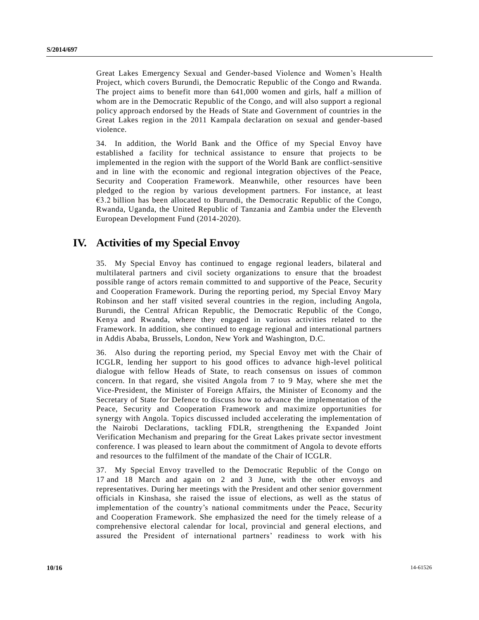Great Lakes Emergency Sexual and Gender-based Violence and Women's Health Project, which covers Burundi, the Democratic Republic of the Congo and Rwanda. The project aims to benefit more than 641,000 women and girls, half a million of whom are in the Democratic Republic of the Congo, and will also support a regional policy approach endorsed by the Heads of State and Government of countries in the Great Lakes region in the 2011 Kampala declaration on sexual and gender-based violence.

34. In addition, the World Bank and the Office of my Special Envoy have established a facility for technical assistance to ensure that projects to be implemented in the region with the support of the World Bank are conflict-sensitive and in line with the economic and regional integration objectives of the Peace, Security and Cooperation Framework. Meanwhile, other resources have been pledged to the region by various development partners. For instance, at least  $\epsilon$ 3.2 billion has been allocated to Burundi, the Democratic Republic of the Congo, Rwanda, Uganda, the United Republic of Tanzania and Zambia under the Eleventh European Development Fund (2014-2020).

## **IV. Activities of my Special Envoy**

35. My Special Envoy has continued to engage regional leaders, bilateral and multilateral partners and civil society organizations to ensure that the broadest possible range of actors remain committed to and supportive of the Peace, Securit y and Cooperation Framework. During the reporting period, my Special Envoy Mary Robinson and her staff visited several countries in the region, including Angola, Burundi, the Central African Republic, the Democratic Republic of the Congo, Kenya and Rwanda, where they engaged in various activities related to the Framework. In addition, she continued to engage regional and international partners in Addis Ababa, Brussels, London, New York and Washington, D.C.

36. Also during the reporting period, my Special Envoy met with the Chair of ICGLR, lending her support to his good offices to advance high-level political dialogue with fellow Heads of State, to reach consensus on issues of common concern. In that regard, she visited Angola from 7 to 9 May, where she met the Vice-President, the Minister of Foreign Affairs, the Minister of Economy and the Secretary of State for Defence to discuss how to advance the implementation of the Peace, Security and Cooperation Framework and maximize opportunities for synergy with Angola. Topics discussed included accelerating the implementation of the Nairobi Declarations, tackling FDLR, strengthening the Expanded Joint Verification Mechanism and preparing for the Great Lakes private sector investment conference. I was pleased to learn about the commitment of Angola to devote efforts and resources to the fulfilment of the mandate of the Chair of ICGLR.

37. My Special Envoy travelled to the Democratic Republic of the Congo on 17 and 18 March and again on 2 and 3 June, with the other envoys and representatives. During her meetings with the President and other senior government officials in Kinshasa, she raised the issue of elections, as well as the status of implementation of the country's national commitments under the Peace, Security and Cooperation Framework. She emphasized the need for the timely release of a comprehensive electoral calendar for local, provincial and general elections, and assured the President of international partners' readiness to work with his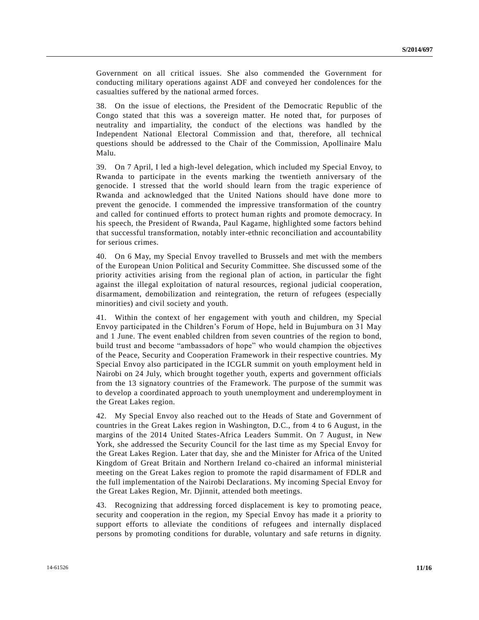Government on all critical issues. She also commended the Government for conducting military operations against ADF and conveyed her condolences for the casualties suffered by the national armed forces.

38. On the issue of elections, the President of the Democratic Republic of the Congo stated that this was a sovereign matter. He noted that, for purposes of neutrality and impartiality, the conduct of the elections was handled by the Independent National Electoral Commission and that, therefore, all technical questions should be addressed to the Chair of the Commission, Apollinaire Malu Malu.

39. On 7 April, I led a high-level delegation, which included my Special Envoy, to Rwanda to participate in the events marking the twentieth anniversary of the genocide. I stressed that the world should learn from the tragic experience of Rwanda and acknowledged that the United Nations should have done more to prevent the genocide. I commended the impressive transformation of the country and called for continued efforts to protect human rights and promote democracy. In his speech, the President of Rwanda, Paul Kagame, highlighted some factors behind that successful transformation, notably inter-ethnic reconciliation and accountability for serious crimes.

40. On 6 May, my Special Envoy travelled to Brussels and met with the members of the European Union Political and Security Committee. She discussed some of the priority activities arising from the regional plan of action, in particular the fight against the illegal exploitation of natural resources, regional judicial cooperation, disarmament, demobilization and reintegration, the return of refugees (especially minorities) and civil society and youth.

41. Within the context of her engagement with youth and children, my Special Envoy participated in the Children's Forum of Hope, held in Bujumbura on 31 May and 1 June. The event enabled children from seven countries of the region to bond, build trust and become "ambassadors of hope" who would champion the objectives of the Peace, Security and Cooperation Framework in their respective countries. My Special Envoy also participated in the ICGLR summit on youth employment held in Nairobi on 24 July, which brought together youth, experts and government officials from the 13 signatory countries of the Framework. The purpose of the summit was to develop a coordinated approach to youth unemployment and underemployment in the Great Lakes region.

42. My Special Envoy also reached out to the Heads of State and Government of countries in the Great Lakes region in Washington, D.C., from 4 to 6 August, in the margins of the 2014 United States-Africa Leaders Summit. On 7 August, in New York, she addressed the Security Council for the last time as my Special Envoy for the Great Lakes Region. Later that day, she and the Minister for Africa of the United Kingdom of Great Britain and Northern Ireland co-chaired an informal ministerial meeting on the Great Lakes region to promote the rapid disarmament of FDLR and the full implementation of the Nairobi Declarations. My incoming Special Envoy for the Great Lakes Region, Mr. Djinnit, attended both meetings.

43. Recognizing that addressing forced displacement is key to promoting peace, security and cooperation in the region, my Special Envoy has made it a priority to support efforts to alleviate the conditions of refugees and internally displaced persons by promoting conditions for durable, voluntary and safe returns in dignity.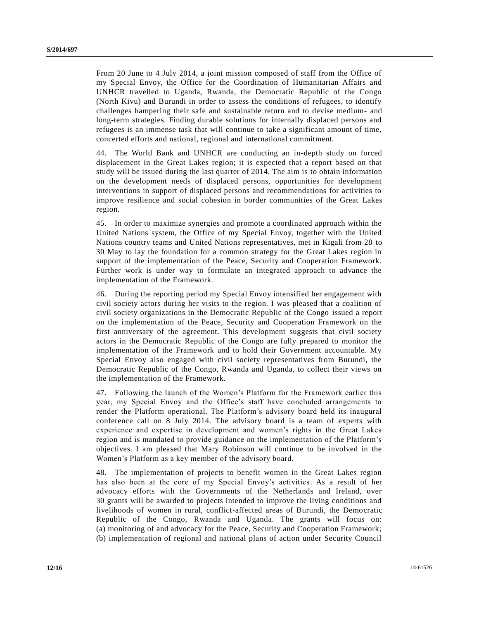From 20 June to 4 July 2014, a joint mission composed of staff from the Office of my Special Envoy, the Office for the Coordination of Humanitarian Affairs and UNHCR travelled to Uganda, Rwanda, the Democratic Republic of the Congo (North Kivu) and Burundi in order to assess the conditions of refugees, to identify challenges hampering their safe and sustainable return and to devise medium- and long-term strategies. Finding durable solutions for internally displaced persons and refugees is an immense task that will continue to take a significant amount of time, concerted efforts and national, regional and international commitment.

44. The World Bank and UNHCR are conducting an in-depth study on forced displacement in the Great Lakes region; it is expected that a report based on that study will be issued during the last quarter of 2014. The aim is to obtain information on the development needs of displaced persons, opportunities for development interventions in support of displaced persons and recommendations for activities to improve resilience and social cohesion in border communities of the Great Lakes region.

45. In order to maximize synergies and promote a coordinated approach within the United Nations system, the Office of my Special Envoy, together with the United Nations country teams and United Nations representatives, met in Kigali from 28 to 30 May to lay the foundation for a common strategy for the Great Lakes region in support of the implementation of the Peace, Security and Cooperation Framework. Further work is under way to formulate an integrated approach to advance the implementation of the Framework.

46. During the reporting period my Special Envoy intensified her engagement with civil society actors during her visits to the region. I was pleased that a coalition of civil society organizations in the Democratic Republic of the Congo issued a report on the implementation of the Peace, Security and Cooperation Framework on the first anniversary of the agreement. This development suggests that civil society actors in the Democratic Republic of the Congo are fully prepared to monitor the implementation of the Framework and to hold their Government accountable. My Special Envoy also engaged with civil society representatives from Burundi, the Democratic Republic of the Congo, Rwanda and Uganda, to collect their views on the implementation of the Framework.

47. Following the launch of the Women's Platform for the Framework earlier this year, my Special Envoy and the Office's staff have concluded arrangements to render the Platform operational. The Platform's advisory board held its inaugural conference call on 8 July 2014. The advisory board is a team of experts with experience and expertise in development and women's rights in the Great Lakes region and is mandated to provide guidance on the implementation of the Platform's objectives. I am pleased that Mary Robinson will continue to be involved in the Women's Platform as a key member of the advisory board.

48. The implementation of projects to benefit women in the Great Lakes region has also been at the core of my Special Envoy's activities. As a result of her advocacy efforts with the Governments of the Netherlands and Ireland, over 30 grants will be awarded to projects intended to improve the living conditions and livelihoods of women in rural, conflict-affected areas of Burundi, the Democratic Republic of the Congo, Rwanda and Uganda. The grants will focus on: (a) monitoring of and advocacy for the Peace, Security and Cooperation Framework; (b) implementation of regional and national plans of action under Security Council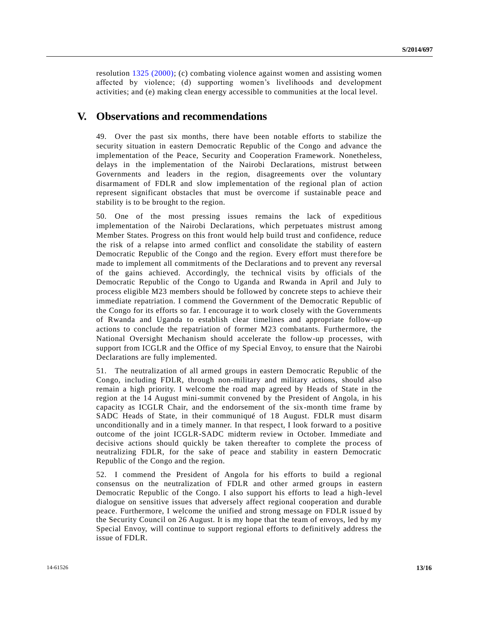resolution [1325 \(2000\);](http://undocs.org/S/RES/1325(2000)) (c) combating violence against women and assisting women affected by violence; (d) supporting women's livelihoods and development activities; and (e) making clean energy accessible to communities at the local level.

### **V. Observations and recommendations**

49. Over the past six months, there have been notable efforts to stabilize the security situation in eastern Democratic Republic of the Congo and advance the implementation of the Peace, Security and Cooperation Framework. Nonetheless, delays in the implementation of the Nairobi Declarations, mistrust between Governments and leaders in the region, disagreements over the voluntary disarmament of FDLR and slow implementation of the regional plan of action represent significant obstacles that must be overcome if sustainable peace and stability is to be brought to the region.

50. One of the most pressing issues remains the lack of expeditious implementation of the Nairobi Declarations, which perpetuates mistrust among Member States. Progress on this front would help build trust and confidence, reduce the risk of a relapse into armed conflict and consolidate the stability of eastern Democratic Republic of the Congo and the region. Every effort must there fore be made to implement all commitments of the Declarations and to prevent any reversal of the gains achieved. Accordingly, the technical visits by officials of the Democratic Republic of the Congo to Uganda and Rwanda in April and July to process eligible M23 members should be followed by concrete steps to achieve their immediate repatriation. I commend the Government of the Democratic Republic of the Congo for its efforts so far. I encourage it to work closely with the Governments of Rwanda and Uganda to establish clear timelines and appropriate follow-up actions to conclude the repatriation of former M23 combatants. Furthermore, the National Oversight Mechanism should accelerate the follow-up processes, with support from ICGLR and the Office of my Special Envoy, to ensure that the Nairobi Declarations are fully implemented.

51. The neutralization of all armed groups in eastern Democratic Republic of the Congo, including FDLR, through non-military and military actions, should also remain a high priority. I welcome the road map agreed by Heads of State in the region at the 14 August mini-summit convened by the President of Angola, in his capacity as ICGLR Chair, and the endorsement of the six-month time frame by SADC Heads of State, in their communiqué of 18 August. FDLR must disarm unconditionally and in a timely manner. In that respect, I look forward to a positive outcome of the joint ICGLR-SADC midterm review in October. Immediate and decisive actions should quickly be taken thereafter to complete the process of neutralizing FDLR, for the sake of peace and stability in eastern Democratic Republic of the Congo and the region.

52. I commend the President of Angola for his efforts to build a regional consensus on the neutralization of FDLR and other armed groups in eastern Democratic Republic of the Congo. I also support his efforts to lead a high -level dialogue on sensitive issues that adversely affect regional cooperation and durable peace. Furthermore, I welcome the unified and strong message on FDLR issue d by the Security Council on 26 August. It is my hope that the team of envoys, led by my Special Envoy, will continue to support regional efforts to definitively address the issue of FDLR.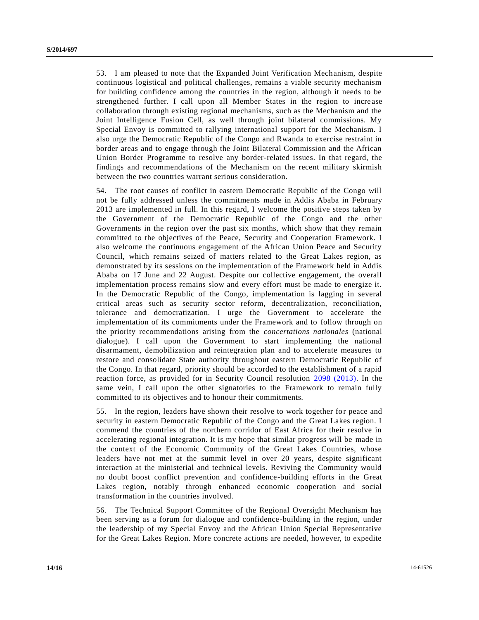53. I am pleased to note that the Expanded Joint Verification Mechanism, despite continuous logistical and political challenges, remains a viable security mechanism for building confidence among the countries in the region, although it needs to be strengthened further. I call upon all Member States in the region to incre ase collaboration through existing regional mechanisms, such as the Mechanism and the Joint Intelligence Fusion Cell, as well through joint bilateral commissions. My Special Envoy is committed to rallying international support for the Mechanism. I also urge the Democratic Republic of the Congo and Rwanda to exercise restraint in border areas and to engage through the Joint Bilateral Commission and the African Union Border Programme to resolve any border-related issues. In that regard, the findings and recommendations of the Mechanism on the recent military skirmish between the two countries warrant serious consideration.

54. The root causes of conflict in eastern Democratic Republic of the Congo will not be fully addressed unless the commitments made in Addis Ababa in February 2013 are implemented in full. In this regard, I welcome the positive steps taken by the Government of the Democratic Republic of the Congo and the other Governments in the region over the past six months, which show that they remain committed to the objectives of the Peace, Security and Cooperation Framework. I also welcome the continuous engagement of the African Union Peace and Security Council, which remains seized of matters related to the Great Lakes region, as demonstrated by its sessions on the implementation of the Framework held in Addis Ababa on 17 June and 22 August. Despite our collective engagement, the overall implementation process remains slow and every effort must be made to energize it. In the Democratic Republic of the Congo, implementation is lagging in several critical areas such as security sector reform, decentralization, reconciliation, tolerance and democratization. I urge the Government to accelerate the implementation of its commitments under the Framework and to follow through on the priority recommendations arising from the *concertations nationales* (national dialogue). I call upon the Government to start implementing the national disarmament, demobilization and reintegration plan and to accelerate measures to restore and consolidate State authority throughout eastern Democratic Republic of the Congo. In that regard, priority should be accorded to the establishment of a rapid reaction force, as provided for in Security Council resolution [2098 \(2013\).](http://undocs.org/S/RES/2098(2013)) In the same vein, I call upon the other signatories to the Framework to remain fully committed to its objectives and to honour their commitments.

55. In the region, leaders have shown their resolve to work together for peace and security in eastern Democratic Republic of the Congo and the Great Lakes region. I commend the countries of the northern corridor of East Africa for their resolve in accelerating regional integration. It is my hope that similar progress will be made in the context of the Economic Community of the Great Lakes Countries, whose leaders have not met at the summit level in over 20 years, despite significant interaction at the ministerial and technical levels. Reviving the Community would no doubt boost conflict prevention and confidence-building efforts in the Great Lakes region, notably through enhanced economic cooperation and social transformation in the countries involved.

56. The Technical Support Committee of the Regional Oversight Mechanism has been serving as a forum for dialogue and confidence-building in the region, under the leadership of my Special Envoy and the African Union Special Representative for the Great Lakes Region. More concrete actions are needed, however, to expedite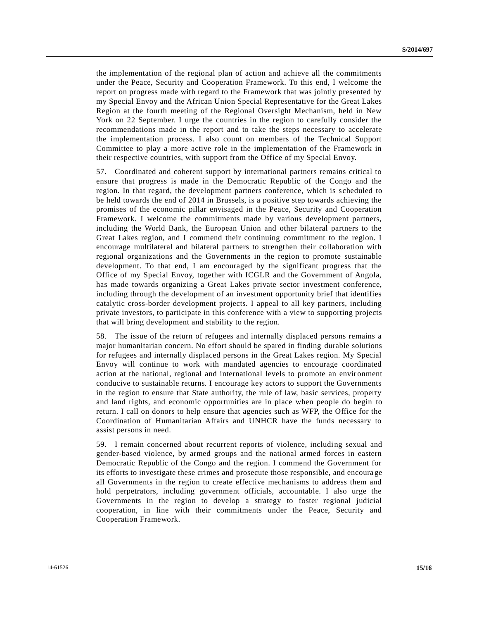the implementation of the regional plan of action and achieve all the commitments under the Peace, Security and Cooperation Framework. To this end, I welcome the report on progress made with regard to the Framework that was jointly presented by my Special Envoy and the African Union Special Representative for the Great Lakes Region at the fourth meeting of the Regional Oversight Mechanism, held in New York on 22 September. I urge the countries in the region to carefully consider the recommendations made in the report and to take the steps necessary to accelerate the implementation process. I also count on members of the Technical Support Committee to play a more active role in the implementation of the Framework in their respective countries, with support from the Office of my Special Envoy.

57. Coordinated and coherent support by international partners remains critical to ensure that progress is made in the Democratic Republic of the Congo and the region. In that regard, the development partners conference, which is scheduled to be held towards the end of 2014 in Brussels, is a positive step towards achieving the promises of the economic pillar envisaged in the Peace, Security and Cooperation Framework. I welcome the commitments made by various development partners, including the World Bank, the European Union and other bilateral partners to the Great Lakes region, and I commend their continuing commitment to the region. I encourage multilateral and bilateral partners to strengthen their collaboration with regional organizations and the Governments in the region to promote sustainable development. To that end, I am encouraged by the significant progress that the Office of my Special Envoy, together with ICGLR and the Government of Angola, has made towards organizing a Great Lakes private sector investment conference, including through the development of an investment opportunity brief that identifies catalytic cross-border development projects. I appeal to all key partners, including private investors, to participate in this conference with a view to supporting projects that will bring development and stability to the region.

58. The issue of the return of refugees and internally displaced persons remains a major humanitarian concern. No effort should be spared in finding durable solutions for refugees and internally displaced persons in the Great Lakes region. My Special Envoy will continue to work with mandated agencies to encourage coordinated action at the national, regional and international levels to promote an envir onment conducive to sustainable returns. I encourage key actors to support the Governments in the region to ensure that State authority, the rule of law, basic services, property and land rights, and economic opportunities are in place when people do begin to return. I call on donors to help ensure that agencies such as WFP, the Office for the Coordination of Humanitarian Affairs and UNHCR have the funds necessary to assist persons in need.

59. I remain concerned about recurrent reports of violence, including sexual and gender-based violence, by armed groups and the national armed forces in eastern Democratic Republic of the Congo and the region. I commend the Government for its efforts to investigate these crimes and prosecute those responsible, and encoura ge all Governments in the region to create effective mechanisms to address them and hold perpetrators, including government officials, accountable. I also urge the Governments in the region to develop a strategy to foster regional judicial cooperation, in line with their commitments under the Peace, Security and Cooperation Framework.